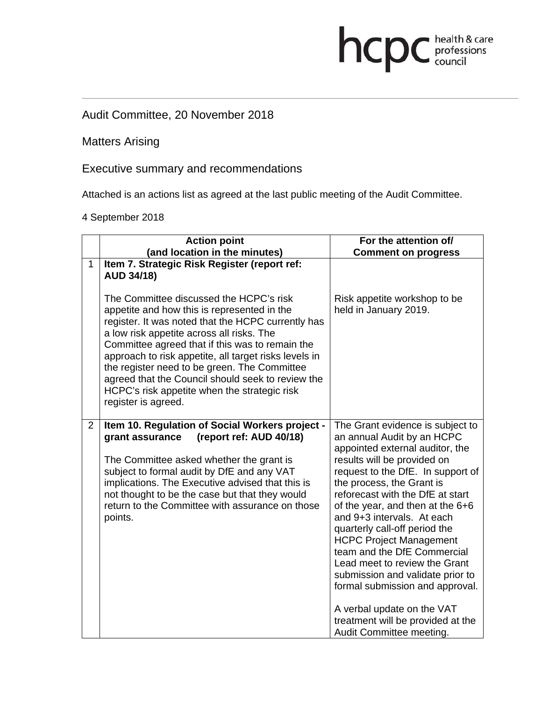# Audit Committee, 20 November 2018

Matters Arising

Executive summary and recommendations

Attached is an actions list as agreed at the last public meeting of the Audit Committee.

hcpc health & care

4 September 2018

|                | <b>Action point</b>                                                                                                                                                                                                                                                                                                                                                                                                                                                               | For the attention of/                                                                                                                                                                                                                                                                                                                                                                                                                                                                                                                            |
|----------------|-----------------------------------------------------------------------------------------------------------------------------------------------------------------------------------------------------------------------------------------------------------------------------------------------------------------------------------------------------------------------------------------------------------------------------------------------------------------------------------|--------------------------------------------------------------------------------------------------------------------------------------------------------------------------------------------------------------------------------------------------------------------------------------------------------------------------------------------------------------------------------------------------------------------------------------------------------------------------------------------------------------------------------------------------|
|                | (and location in the minutes)                                                                                                                                                                                                                                                                                                                                                                                                                                                     | <b>Comment on progress</b>                                                                                                                                                                                                                                                                                                                                                                                                                                                                                                                       |
| $\mathbf{1}$   | Item 7. Strategic Risk Register (report ref:<br><b>AUD 34/18)</b>                                                                                                                                                                                                                                                                                                                                                                                                                 |                                                                                                                                                                                                                                                                                                                                                                                                                                                                                                                                                  |
|                | The Committee discussed the HCPC's risk<br>appetite and how this is represented in the<br>register. It was noted that the HCPC currently has<br>a low risk appetite across all risks. The<br>Committee agreed that if this was to remain the<br>approach to risk appetite, all target risks levels in<br>the register need to be green. The Committee<br>agreed that the Council should seek to review the<br>HCPC's risk appetite when the strategic risk<br>register is agreed. | Risk appetite workshop to be<br>held in January 2019.                                                                                                                                                                                                                                                                                                                                                                                                                                                                                            |
| $\overline{2}$ | Item 10. Regulation of Social Workers project -<br>(report ref: AUD 40/18)<br>grant assurance<br>The Committee asked whether the grant is<br>subject to formal audit by DfE and any VAT<br>implications. The Executive advised that this is<br>not thought to be the case but that they would<br>return to the Committee with assurance on those<br>points.                                                                                                                       | The Grant evidence is subject to<br>an annual Audit by an HCPC<br>appointed external auditor, the<br>results will be provided on<br>request to the DfE. In support of<br>the process, the Grant is<br>reforecast with the DfE at start<br>of the year, and then at the 6+6<br>and 9+3 intervals. At each<br>quarterly call-off period the<br><b>HCPC Project Management</b><br>team and the DfE Commercial<br>Lead meet to review the Grant<br>submission and validate prior to<br>formal submission and approval.<br>A verbal update on the VAT |
|                |                                                                                                                                                                                                                                                                                                                                                                                                                                                                                   | treatment will be provided at the<br>Audit Committee meeting.                                                                                                                                                                                                                                                                                                                                                                                                                                                                                    |